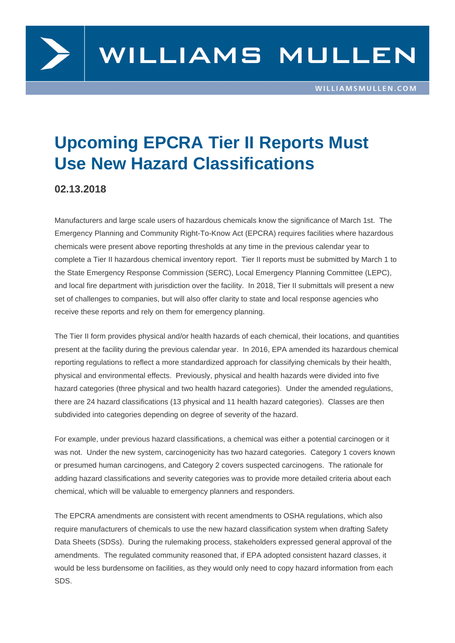

## **Upcoming EPCRA Tier II Reports Must Use New Hazard Classifications**

## **02.13.2018**

Manufacturers and large scale users of hazardous chemicals know the significance of March 1st. The Emergency Planning and Community Right-To-Know Act (EPCRA) requires facilities where hazardous chemicals were present above reporting thresholds at any time in the previous calendar year to complete a Tier II hazardous chemical inventory report. Tier II reports must be submitted by March 1 to the State Emergency Response Commission (SERC), Local Emergency Planning Committee (LEPC), and local fire department with jurisdiction over the facility. In 2018, Tier II submittals will present a new set of challenges to companies, but will also offer clarity to state and local response agencies who receive these reports and rely on them for emergency planning.

The Tier II form provides physical and/or health hazards of each chemical, their locations, and quantities present at the facility during the previous calendar year. In 2016, EPA amended its hazardous chemical reporting regulations to reflect a more standardized approach for classifying chemicals by their health, physical and environmental effects. Previously, physical and health hazards were divided into five hazard categories (three physical and two health hazard categories). Under the amended regulations, there are 24 hazard classifications (13 physical and 11 health hazard categories). Classes are then subdivided into categories depending on degree of severity of the hazard.

For example, under previous hazard classifications, a chemical was either a potential carcinogen or it was not. Under the new system, carcinogenicity has two hazard categories. Category 1 covers known or presumed human carcinogens, and Category 2 covers suspected carcinogens. The rationale for adding hazard classifications and severity categories was to provide more detailed criteria about each chemical, which will be valuable to emergency planners and responders.

The EPCRA amendments are consistent with recent amendments to OSHA regulations, which also require manufacturers of chemicals to use the new hazard classification system when drafting Safety Data Sheets (SDSs). During the rulemaking process, stakeholders expressed general approval of the amendments. The regulated community reasoned that, if EPA adopted consistent hazard classes, it would be less burdensome on facilities, as they would only need to copy hazard information from each SDS.